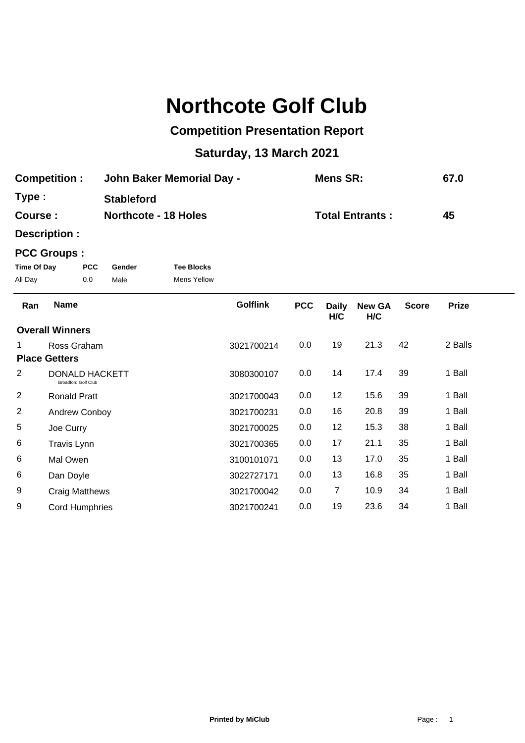# **Northcote Golf Club**

### **Competition Presentation Report**

## **Saturday, 13 March 2021**

| <b>Competition:</b> | <b>John Baker Memorial Day -</b> | <b>Mens SR:</b>        | 67.0 |
|---------------------|----------------------------------|------------------------|------|
| Type :              | <b>Stableford</b>                |                        |      |
| <b>Course :</b>     | <b>Northcote - 18 Holes</b>      | <b>Total Entrants:</b> | 45   |

**Description :**

#### **PCC Groups :**

| Time Of Day | <b>PCC</b> | Gender | <b>Tee Blocks</b> |
|-------------|------------|--------|-------------------|
| All Day     | 0.0        | Male   | Mens Yellow       |

| Ran            | <b>Name</b>                                         | <b>Golflink</b> | <b>PCC</b> | <b>Daily</b><br>H/C | <b>New GA</b><br>H/C | <b>Score</b> | <b>Prize</b> |  |
|----------------|-----------------------------------------------------|-----------------|------------|---------------------|----------------------|--------------|--------------|--|
|                | <b>Overall Winners</b>                              |                 |            |                     |                      |              |              |  |
|                | Ross Graham                                         | 3021700214      | 0.0        | 19                  | 21.3                 | 42           | 2 Balls      |  |
|                | <b>Place Getters</b>                                |                 |            |                     |                      |              |              |  |
| 2              | <b>DONALD HACKETT</b><br><b>Broadford Golf Club</b> | 3080300107      | 0.0        | 14                  | 17.4                 | 39           | 1 Ball       |  |
| $\overline{c}$ | <b>Ronald Pratt</b>                                 | 3021700043      | 0.0        | 12                  | 15.6                 | 39           | 1 Ball       |  |
| $\overline{c}$ | <b>Andrew Conboy</b>                                | 3021700231      | 0.0        | 16                  | 20.8                 | 39           | 1 Ball       |  |
| 5              | Joe Curry                                           | 3021700025      | 0.0        | 12                  | 15.3                 | 38           | 1 Ball       |  |
| 6              | <b>Travis Lynn</b>                                  | 3021700365      | 0.0        | 17                  | 21.1                 | 35           | 1 Ball       |  |
| 6              | Mal Owen                                            | 3100101071      | 0.0        | 13                  | 17.0                 | 35           | 1 Ball       |  |
| 6              | Dan Doyle                                           | 3022727171      | 0.0        | 13                  | 16.8                 | 35           | 1 Ball       |  |
| 9              | Craig Matthews                                      | 3021700042      | 0.0        | 7                   | 10.9                 | 34           | 1 Ball       |  |
| 9              | Cord Humphries                                      | 3021700241      | 0.0        | 19                  | 23.6                 | 34           | 1 Ball       |  |